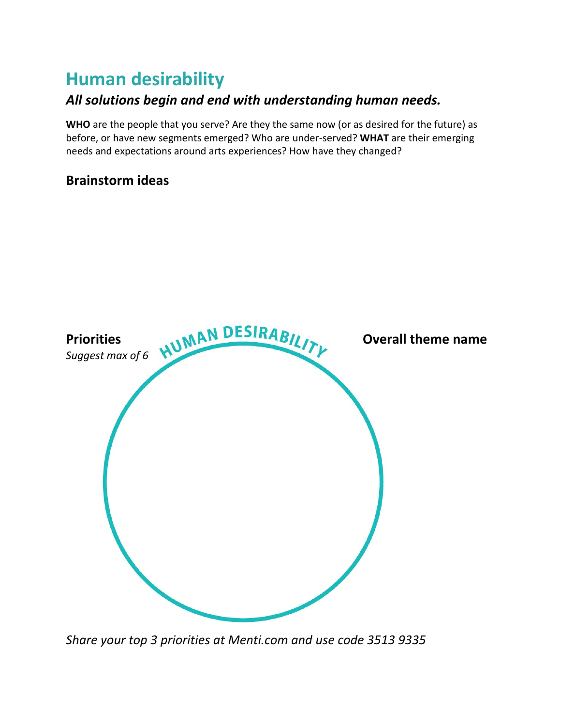### **Human desirability**

#### *All solutions begin and end with understanding human needs.*

**WHO** are the people that you serve? Are they the same now (or as desired for the future) as before, or have new segments emerged? Who are under-served? **WHAT** are their emerging needs and expectations around arts experiences? How have they changed?

#### **Brainstorm ideas**



*Share your top 3 priorities at Menti.com and use code 3513 9335*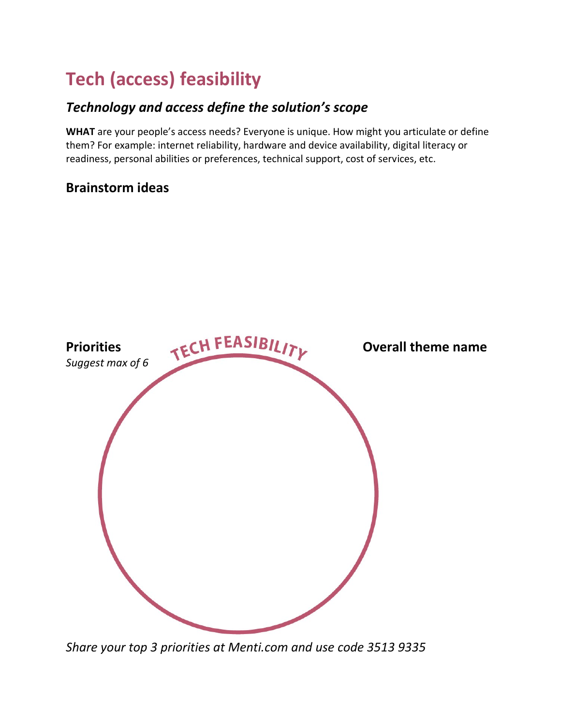# **Tech (access) feasibility**

#### *Technology and access define the solution's scope*

**WHAT** are your people's access needs? Everyone is unique. How might you articulate or define them? For example: internet reliability, hardware and device availability, digital literacy or readiness, personal abilities or preferences, technical support, cost of services, etc.

#### **Brainstorm ideas**



*Share your top 3 priorities at Menti.com and use code 3513 9335*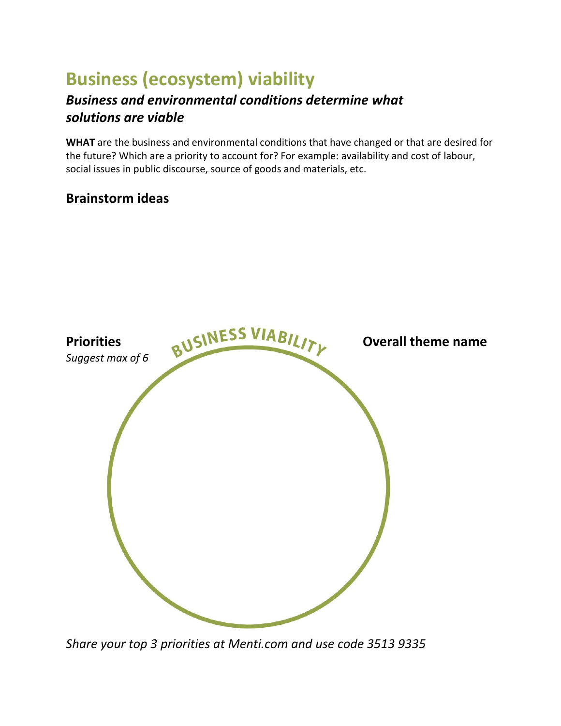## **Business (ecosystem) viability**

#### *Business and environmental conditions determine what solutions are viable*

**WHAT** are the business and environmental conditions that have changed or that are desired for the future? Which are a priority to account for? For example: availability and cost of labour, social issues in public discourse, source of goods and materials, etc.

#### **Brainstorm ideas**



*Share your top 3 priorities at Menti.com and use code 3513 9335*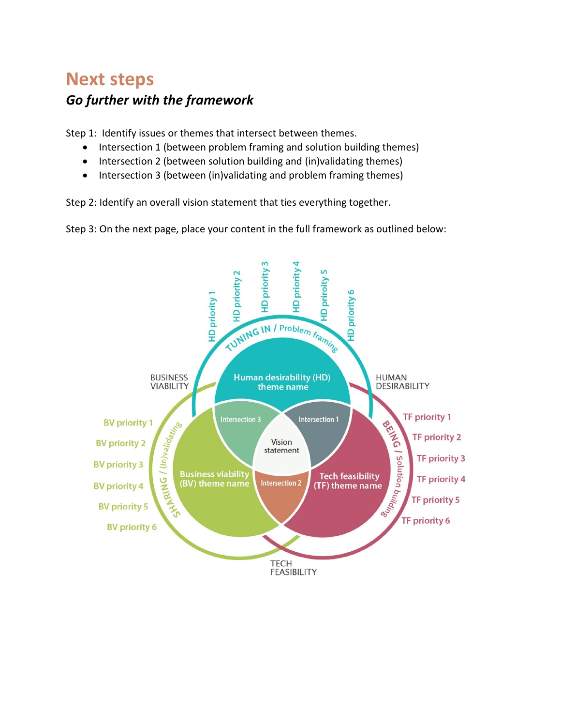### **Next steps** *Go further with the framework*

Step 1: Identify issues or themes that intersect between themes.

- Intersection 1 (between problem framing and solution building themes)
- Intersection 2 (between solution building and (in)validating themes)
- Intersection 3 (between (in)validating and problem framing themes)

Step 2: Identify an overall vision statement that ties everything together.

Step 3: On the next page, place your content in the full framework as outlined below: